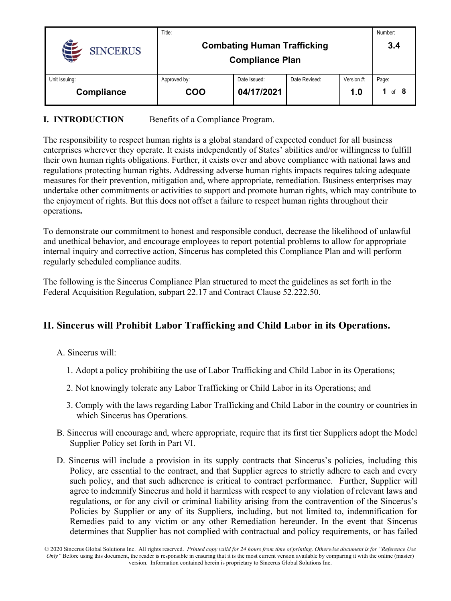|                 | Title:                                                       |              |               |            | Number: |
|-----------------|--------------------------------------------------------------|--------------|---------------|------------|---------|
| <b>SINCERUS</b> | <b>Combating Human Trafficking</b><br><b>Compliance Plan</b> |              |               |            | 3.4     |
|                 |                                                              |              |               |            |         |
| Unit Issuing:   | Approved by:                                                 | Date Issued: | Date Revised: | Version #: | Page:   |
| Compliance      | COO                                                          | 04/17/2021   |               | 1.0        | of $8$  |

### **I. INTRODUCTION** Benefits of a Compliance Program.

The responsibility to respect human rights is a global standard of expected conduct for all business enterprises wherever they operate. It exists independently of States' abilities and/or willingness to fulfill their own human rights obligations. Further, it exists over and above compliance with national laws and regulations protecting human rights. Addressing adverse human rights impacts requires taking adequate measures for their prevention, mitigation and, where appropriate, remediation. Business enterprises may undertake other commitments or activities to support and promote human rights, which may contribute to the enjoyment of rights. But this does not offset a failure to respect human rights throughout their operations**.**

To demonstrate our commitment to honest and responsible conduct, decrease the likelihood of unlawful and unethical behavior, and encourage employees to report potential problems to allow for appropriate internal inquiry and corrective action, Sincerus has completed this Compliance Plan and will perform regularly scheduled compliance audits.

The following is the Sincerus Compliance Plan structured to meet the guidelines as set forth in the Federal Acquisition Regulation, subpart 22.17 and Contract Clause 52.222.50.

## **II. Sincerus will Prohibit Labor Trafficking and Child Labor in its Operations.**

A. Sincerus will:

- 1. Adopt a policy prohibiting the use of Labor Trafficking and Child Labor in its Operations;
- 2. Not knowingly tolerate any Labor Trafficking or Child Labor in its Operations; and
- 3. Comply with the laws regarding Labor Trafficking and Child Labor in the country or countries in which Sincerus has Operations.
- B. Sincerus will encourage and, where appropriate, require that its first tier Suppliers adopt the Model Supplier Policy set forth in Part VI.
- D. Sincerus will include a provision in its supply contracts that Sincerus's policies, including this Policy, are essential to the contract, and that Supplier agrees to strictly adhere to each and every such policy, and that such adherence is critical to contract performance. Further, Supplier will agree to indemnify Sincerus and hold it harmless with respect to any violation of relevant laws and regulations, or for any civil or criminal liability arising from the contravention of the Sincerus's Policies by Supplier or any of its Suppliers, including, but not limited to, indemnification for Remedies paid to any victim or any other Remediation hereunder. In the event that Sincerus determines that Supplier has not complied with contractual and policy requirements, or has failed

<sup>© 2020</sup> Sincerus Global Solutions Inc. All rights reserved. *Printed copy valid for 24 hours from time of printing. Otherwise document is for "Reference Use Only"* Before using this document, the reader is responsible in ensuring that it is the most current version available by comparing it with the online (master) version. Information contained herein is proprietary to Sincerus Global Solutions Inc.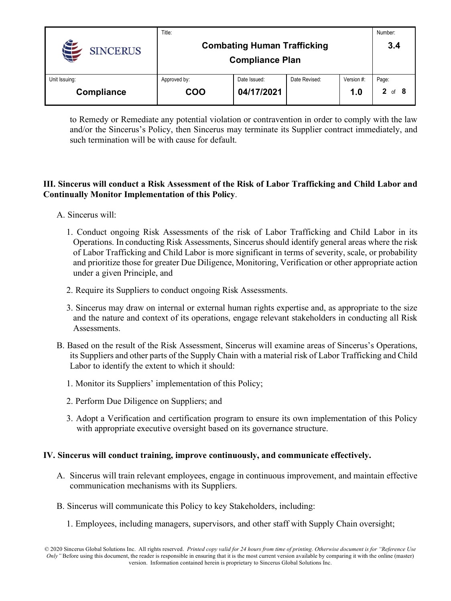|                 | Title:                             |              |               |            | Number:                |
|-----------------|------------------------------------|--------------|---------------|------------|------------------------|
| <b>SINCERUS</b> | <b>Combating Human Trafficking</b> | 3.4          |               |            |                        |
|                 | <b>Compliance Plan</b>             |              |               |            |                        |
| Unit Issuing:   | Approved by:                       | Date Issued: | Date Revised: | Version #: | Page:                  |
| Compliance      | COO                                | 04/17/2021   |               | 1.0        | $\mathbf{2}$<br>of $8$ |

to Remedy or Remediate any potential violation or contravention in order to comply with the law and/or the Sincerus's Policy, then Sincerus may terminate its Supplier contract immediately, and such termination will be with cause for default.

#### **III. Sincerus will conduct a Risk Assessment of the Risk of Labor Trafficking and Child Labor and Continually Monitor Implementation of this Policy**.

- A. Sincerus will:
	- 1. Conduct ongoing Risk Assessments of the risk of Labor Trafficking and Child Labor in its Operations. In conducting Risk Assessments, Sincerus should identify general areas where the risk of Labor Trafficking and Child Labor is more significant in terms of severity, scale, or probability and prioritize those for greater Due Diligence, Monitoring, Verification or other appropriate action under a given Principle, and
	- 2. Require its Suppliers to conduct ongoing Risk Assessments.
	- 3. Sincerus may draw on internal or external human rights expertise and, as appropriate to the size and the nature and context of its operations, engage relevant stakeholders in conducting all Risk Assessments.
- B. Based on the result of the Risk Assessment, Sincerus will examine areas of Sincerus's Operations, its Suppliers and other parts of the Supply Chain with a material risk of Labor Trafficking and Child Labor to identify the extent to which it should:
	- 1. Monitor its Suppliers' implementation of this Policy;
	- 2. Perform Due Diligence on Suppliers; and
	- 3. Adopt a Verification and certification program to ensure its own implementation of this Policy with appropriate executive oversight based on its governance structure.

#### **IV. Sincerus will conduct training, improve continuously, and communicate effectively.**

- A. Sincerus will train relevant employees, engage in continuous improvement, and maintain effective communication mechanisms with its Suppliers.
- B. Sincerus will communicate this Policy to key Stakeholders, including:
	- 1. Employees, including managers, supervisors, and other staff with Supply Chain oversight;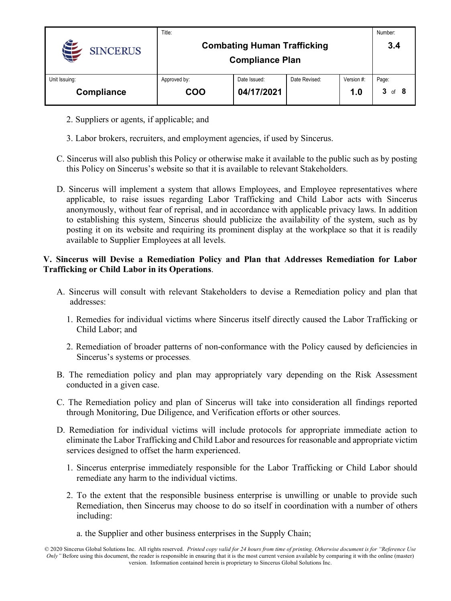|                   | Title:                             |              |               |            | Number:    |
|-------------------|------------------------------------|--------------|---------------|------------|------------|
| <b>SINCERUS</b>   | <b>Combating Human Trafficking</b> |              |               |            | 3.4        |
|                   | <b>Compliance Plan</b>             |              |               |            |            |
| Unit Issuing:     | Approved by:                       | Date Issued: | Date Revised: | Version #: | Page:      |
| <b>Compliance</b> | COO                                | 04/17/2021   |               | 1.0        | $3$ of $8$ |

- 2. Suppliers or agents, if applicable; and
- 3. Labor brokers, recruiters, and employment agencies, if used by Sincerus.
- C. Sincerus will also publish this Policy or otherwise make it available to the public such as by posting this Policy on Sincerus's website so that it is available to relevant Stakeholders.
- D. Sincerus will implement a system that allows Employees, and Employee representatives where applicable, to raise issues regarding Labor Trafficking and Child Labor acts with Sincerus anonymously, without fear of reprisal, and in accordance with applicable privacy laws. In addition to establishing this system, Sincerus should publicize the availability of the system, such as by posting it on its website and requiring its prominent display at the workplace so that it is readily available to Supplier Employees at all levels.

#### **V. Sincerus will Devise a Remediation Policy and Plan that Addresses Remediation for Labor Trafficking or Child Labor in its Operations**.

- A. Sincerus will consult with relevant Stakeholders to devise a Remediation policy and plan that addresses:
	- 1. Remedies for individual victims where Sincerus itself directly caused the Labor Trafficking or Child Labor; and
	- 2. Remediation of broader patterns of non-conformance with the Policy caused by deficiencies in Sincerus's systems or processes.
- B. The remediation policy and plan may appropriately vary depending on the Risk Assessment conducted in a given case.
- C. The Remediation policy and plan of Sincerus will take into consideration all findings reported through Monitoring, Due Diligence, and Verification efforts or other sources.
- D. Remediation for individual victims will include protocols for appropriate immediate action to eliminate the Labor Trafficking and Child Labor and resources for reasonable and appropriate victim services designed to offset the harm experienced.
	- 1. Sincerus enterprise immediately responsible for the Labor Trafficking or Child Labor should remediate any harm to the individual victims.
	- 2. To the extent that the responsible business enterprise is unwilling or unable to provide such Remediation, then Sincerus may choose to do so itself in coordination with a number of others including:
		- a. the Supplier and other business enterprises in the Supply Chain;

<sup>© 2020</sup> Sincerus Global Solutions Inc. All rights reserved. *Printed copy valid for 24 hours from time of printing. Otherwise document is for "Reference Use Only"* Before using this document, the reader is responsible in ensuring that it is the most current version available by comparing it with the online (master) version. Information contained herein is proprietary to Sincerus Global Solutions Inc.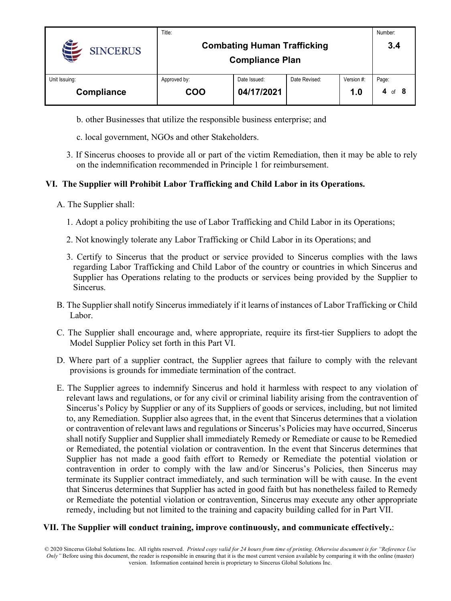|                 | Title:                             |              |               |            | Number:     |
|-----------------|------------------------------------|--------------|---------------|------------|-------------|
| <b>SINCERUS</b> | <b>Combating Human Trafficking</b> | 3.4          |               |            |             |
|                 | <b>Compliance Plan</b>             |              |               |            |             |
| Unit Issuing:   | Approved by:                       | Date Issued: | Date Revised: | Version #: | Page:       |
| Compliance      | COO                                | 04/17/2021   |               | 1.0        | of $8$<br>4 |

- b. other Businesses that utilize the responsible business enterprise; and
- c. local government, NGOs and other Stakeholders.
- 3. If Sincerus chooses to provide all or part of the victim Remediation, then it may be able to rely on the indemnification recommended in Principle 1 for reimbursement.

#### **VI. The Supplier will Prohibit Labor Trafficking and Child Labor in its Operations.**

- A. The Supplier shall:
	- 1. Adopt a policy prohibiting the use of Labor Trafficking and Child Labor in its Operations;
	- 2. Not knowingly tolerate any Labor Trafficking or Child Labor in its Operations; and
	- 3. Certify to Sincerus that the product or service provided to Sincerus complies with the laws regarding Labor Trafficking and Child Labor of the country or countries in which Sincerus and Supplier has Operations relating to the products or services being provided by the Supplier to Sincerus.
- B. The Supplier shall notify Sincerus immediately if it learns of instances of Labor Trafficking or Child Labor.
- C. The Supplier shall encourage and, where appropriate, require its first-tier Suppliers to adopt the Model Supplier Policy set forth in this Part VI.
- D. Where part of a supplier contract, the Supplier agrees that failure to comply with the relevant provisions is grounds for immediate termination of the contract.
- E. The Supplier agrees to indemnify Sincerus and hold it harmless with respect to any violation of relevant laws and regulations, or for any civil or criminal liability arising from the contravention of Sincerus's Policy by Supplier or any of its Suppliers of goods or services, including, but not limited to, any Remediation. Supplier also agrees that, in the event that Sincerus determines that a violation or contravention of relevant laws and regulations or Sincerus's Policies may have occurred, Sincerus shall notify Supplier and Supplier shall immediately Remedy or Remediate or cause to be Remedied or Remediated, the potential violation or contravention. In the event that Sincerus determines that Supplier has not made a good faith effort to Remedy or Remediate the potential violation or contravention in order to comply with the law and/or Sincerus's Policies, then Sincerus may terminate its Supplier contract immediately, and such termination will be with cause. In the event that Sincerus determines that Supplier has acted in good faith but has nonetheless failed to Remedy or Remediate the potential violation or contravention, Sincerus may execute any other appropriate remedy, including but not limited to the training and capacity building called for in Part VII.

#### **VII. The Supplier will conduct training, improve continuously, and communicate effectively.**: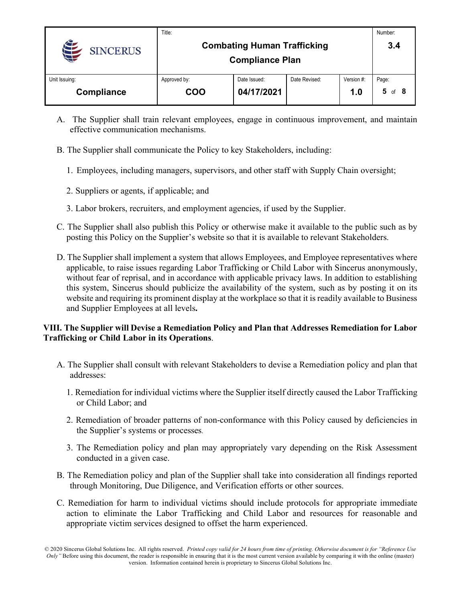|                   | Title:                             |              |               |            | Number:      |
|-------------------|------------------------------------|--------------|---------------|------------|--------------|
| <b>SINCERUS</b>   | <b>Combating Human Trafficking</b> | 3.4          |               |            |              |
|                   | <b>Compliance Plan</b>             |              |               |            |              |
| Unit Issuing:     | Approved by:                       | Date Issued: | Date Revised: | Version #: | Page:        |
| <b>Compliance</b> | COO                                | 04/17/2021   |               | 1.0        | 5.<br>of $8$ |

- A. The Supplier shall train relevant employees, engage in continuous improvement, and maintain effective communication mechanisms.
- B. The Supplier shall communicate the Policy to key Stakeholders, including:
	- 1. Employees, including managers, supervisors, and other staff with Supply Chain oversight;
	- 2. Suppliers or agents, if applicable; and
	- 3. Labor brokers, recruiters, and employment agencies, if used by the Supplier.
- C. The Supplier shall also publish this Policy or otherwise make it available to the public such as by posting this Policy on the Supplier's website so that it is available to relevant Stakeholders.
- D. The Supplier shall implement a system that allows Employees, and Employee representatives where applicable, to raise issues regarding Labor Trafficking or Child Labor with Sincerus anonymously, without fear of reprisal, and in accordance with applicable privacy laws. In addition to establishing this system, Sincerus should publicize the availability of the system, such as by posting it on its website and requiring its prominent display at the workplace so that it is readily available to Business and Supplier Employees at all levels**.**

### **VIII. The Supplier will Devise a Remediation Policy and Plan that Addresses Remediation for Labor Trafficking or Child Labor in its Operations**.

- A. The Supplier shall consult with relevant Stakeholders to devise a Remediation policy and plan that addresses:
	- 1. Remediation for individual victims where the Supplier itself directly caused the Labor Trafficking or Child Labor; and
	- 2. Remediation of broader patterns of non-conformance with this Policy caused by deficiencies in the Supplier's systems or processes.
	- 3. The Remediation policy and plan may appropriately vary depending on the Risk Assessment conducted in a given case.
- B. The Remediation policy and plan of the Supplier shall take into consideration all findings reported through Monitoring, Due Diligence, and Verification efforts or other sources.
- C. Remediation for harm to individual victims should include protocols for appropriate immediate action to eliminate the Labor Trafficking and Child Labor and resources for reasonable and appropriate victim services designed to offset the harm experienced.

<sup>© 2020</sup> Sincerus Global Solutions Inc. All rights reserved. *Printed copy valid for 24 hours from time of printing. Otherwise document is for "Reference Use Only"* Before using this document, the reader is responsible in ensuring that it is the most current version available by comparing it with the online (master) version. Information contained herein is proprietary to Sincerus Global Solutions Inc.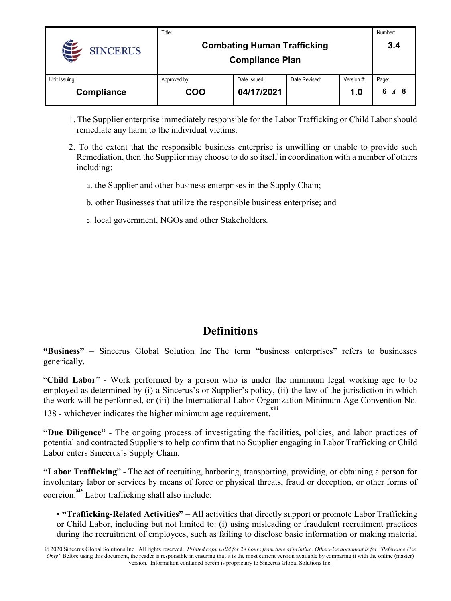|                 | Title:                             |              |               |            | Number:     |
|-----------------|------------------------------------|--------------|---------------|------------|-------------|
| <b>SINCERUS</b> | <b>Combating Human Trafficking</b> |              |               | 3.4        |             |
|                 | <b>Compliance Plan</b>             |              |               |            |             |
| Unit Issuing:   | Approved by:                       | Date Issued: | Date Revised: | Version #: | Page:       |
| Compliance      | <b>COO</b>                         | 04/17/2021   |               | 1.0        | 6<br>of $8$ |

- 1. The Supplier enterprise immediately responsible for the Labor Trafficking or Child Labor should remediate any harm to the individual victims.
- 2. To the extent that the responsible business enterprise is unwilling or unable to provide such Remediation, then the Supplier may choose to do so itself in coordination with a number of others including:
	- a. the Supplier and other business enterprises in the Supply Chain;
	- b. other Businesses that utilize the responsible business enterprise; and
	- c. local government, NGOs and other Stakeholders.

# **Definitions**

**"Business"** – Sincerus Global Solution Inc The term "business enterprises" refers to businesses generically.

"**Child Labor**" - Work performed by a person who is under the minimum legal working age to be employed as determined by (i) a Sincerus's or Supplier's policy, (ii) the law of the jurisdiction in which the work will be performed, or (iii) the International Labor Organization Minimum Age Convention No. 138 - whichever indicates the higher minimum age requirement.

**"Due Diligence"** - The ongoing process of investigating the facilities, policies, and labor practices of potential and contracted Suppliers to help confirm that no Supplier engaging in Labor Trafficking or Child Labor enters Sincerus's Supply Chain.

**"Labor Trafficking**" - The act of recruiting, harboring, transporting, providing, or obtaining a person for involuntary labor or services by means of force or physical threats, fraud or deception, or other forms of coercion.**xiv**  Labor trafficking shall also include:

• **"Trafficking-Related Activities"** – All activities that directly support or promote Labor Trafficking or Child Labor, including but not limited to: (i) using misleading or fraudulent recruitment practices during the recruitment of employees, such as failing to disclose basic information or making material

© 2020 Sincerus Global Solutions Inc. All rights reserved. *Printed copy valid for 24 hours from time of printing. Otherwise document is for "Reference Use Only"* Before using this document, the reader is responsible in ensuring that it is the most current version available by comparing it with the online (master) version. Information contained herein is proprietary to Sincerus Global Solutions Inc.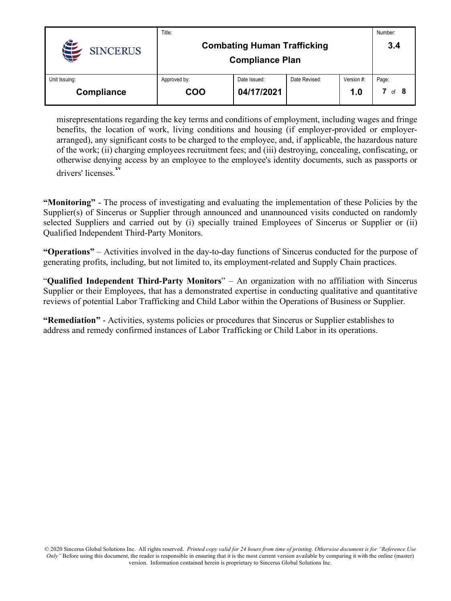|                 | Title:                             |              |               |            | Number: |
|-----------------|------------------------------------|--------------|---------------|------------|---------|
| <b>SINCERUS</b> | <b>Combating Human Trafficking</b> | 3.4          |               |            |         |
|                 | <b>Compliance Plan</b>             |              |               |            |         |
| Unit Issuing:   | Approved by:                       | Date Issued: | Date Revised: | Version #: | Page:   |
| Compliance      | COO                                | 04/17/2021   |               | 1.0        | of $8$  |

misrepresentations regarding the key terms and conditions of employment, including wages and fringe benefits, the location of work, living conditions and housing (if employer-provided or employerarranged), any significant costs to be charged to the employee, and, if applicable, the hazardous nature of the work; (ii) charging employees recruitment fees; and (iii) destroying, concealing, confiscating, or otherwise denying access by an employee to the employee's identity documents, such as passports or drivers' licenses.**xv** 

**"Monitoring"** - The process of investigating and evaluating the implementation of these Policies by the Supplier(s) of Sincerus or Supplier through announced and unannounced visits conducted on randomly selected Suppliers and carried out by (i) specially trained Employees of Sincerus or Supplier or (ii) Qualified Independent Third-Party Monitors.

**"Operations"** – Activities involved in the day-to-day functions of Sincerus conducted for the purpose of generating profits, including, but not limited to, its employment-related and Supply Chain practices.

"**Qualified Independent Third-Party Monitors**" – An organization with no affiliation with Sincerus Supplier or their Employees, that has a demonstrated expertise in conducting qualitative and quantitative reviews of potential Labor Trafficking and Child Labor within the Operations of Business or Supplier.

**"Remediation"** - Activities, systems policies or procedures that Sincerus or Supplier establishes to address and remedy confirmed instances of Labor Trafficking or Child Labor in its operations.